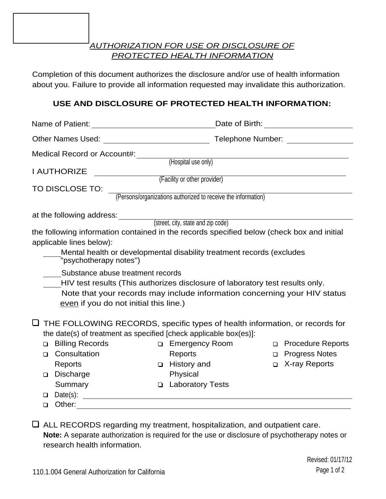*AUTHORIZATION FOR USE OR DISCLOSURE OF PROTECTED HEALTH INFORMATION*

Completion of this document authorizes the disclosure and/or use of health information about you. Failure to provide all information requested may invalidate this authorization.

## **USE AND DISCLOSURE OF PROTECTED HEALTH INFORMATION:**

| Other Names Used:<br><u> 1989 - Johann Barbara, martxa amerikan per</u>                         |                                                               |        | Telephone Number: Telephone Number |
|-------------------------------------------------------------------------------------------------|---------------------------------------------------------------|--------|------------------------------------|
| <b>Medical Record or Account#:</b>                                                              |                                                               |        |                                    |
|                                                                                                 | (Hospital use only)                                           |        |                                    |
| <b>I AUTHORIZE</b>                                                                              |                                                               |        |                                    |
|                                                                                                 | (Facility or other provider)                                  |        |                                    |
| TO DISCLOSE TO:                                                                                 | (Persons/organizations authorized to receive the information) |        |                                    |
|                                                                                                 |                                                               |        |                                    |
| at the following address: ________                                                              |                                                               |        |                                    |
|                                                                                                 | (street, city, state and zip code)                            |        |                                    |
| the following information contained in the records specified below (check box and initial       |                                                               |        |                                    |
| applicable lines below):                                                                        |                                                               |        |                                    |
| Mental health or developmental disability treatment records (excludes<br>"psychotherapy notes") |                                                               |        |                                    |
| Substance abuse treatment records                                                               |                                                               |        |                                    |
| HIV test results (This authorizes disclosure of laboratory test results only.                   |                                                               |        |                                    |
| Note that your records may include information concerning your HIV status                       |                                                               |        |                                    |
| even if you do not initial this line.)                                                          |                                                               |        |                                    |
|                                                                                                 |                                                               |        |                                    |
| THE FOLLOWING RECORDS, specific types of health information, or records for<br>⊔                |                                                               |        |                                    |
| the date(s) of treatment as specified [check applicable box(es)]:                               |                                                               |        |                                    |
| <b>Billing Records</b><br>□                                                                     | □ Emergency Room                                              |        | □ Procedure Reports                |
| Consultation<br>◻                                                                               | <b>Reports</b>                                                | $\Box$ | <b>Progress Notes</b>              |
| Reports                                                                                         | □ History and                                                 |        | □ X-ray Reports                    |
| <b>Discharge</b><br>◻                                                                           | Physical                                                      |        |                                    |
| Summary<br>$\Box$                                                                               | <b>Laboratory Tests</b>                                       |        |                                    |
| Date(s): $\qquad \qquad$<br>□                                                                   |                                                               |        |                                    |
| Other:<br>◻                                                                                     |                                                               |        |                                    |
|                                                                                                 |                                                               |        |                                    |

ALL RECORDS regarding my treatment, hospitalization, and outpatient care. **Note:** A separate authorization is required for the use or disclosure of psychotherapy notes or research health information.